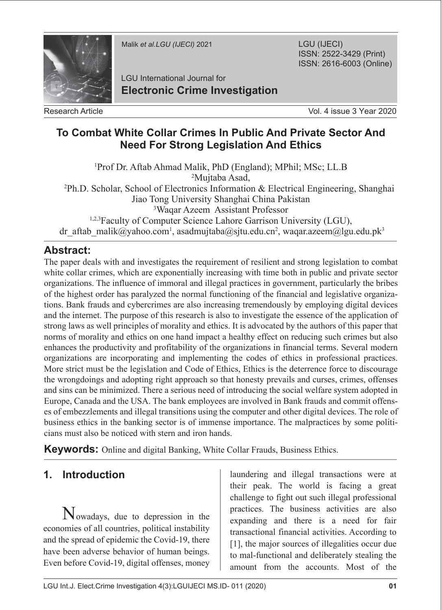

Malik *et al.LGU (IJECI)* 2021

LGU (IJECI) ISSN: 2522-3429 (Print) ISSN: 2616-6003 (Online)

LGU International Journal for **Electronic Crime Investigation**

Research Article

Vol. 4 issue 3 Year 2020

#### **To Combat White Collar Crimes In Public And Private Sector And Need For Strong Legislation And Ethics**

1 Prof Dr. Aftab Ahmad Malik, PhD (England); MPhil; MSc; LL.B 2 Mujtaba Asad, 2 Ph.D. Scholar, School of Electronics Information & Electrical Engineering, Shanghai Jiao Tong University Shanghai China Pakistan 3 Waqar Azeem Assistant Professor 1,2,3Faculty of Computer Science Lahore Garrison University (LGU), dr\_aftab\_malik@yahoo.com<sup>1</sup>, asadmujtaba@sjtu.edu.cn<sup>2</sup>, waqar.azeem@lgu.edu.pk<sup>3</sup>

## **Abstract:**

The paper deals with and investigates the requirement of resilient and strong legislation to combat white collar crimes, which are exponentially increasing with time both in public and private sector organizations. The influence of immoral and illegal practices in government, particularly the bribes of the highest order has paralyzed the normal functioning of the financial and legislative organizations. Bank frauds and cybercrimes are also increasing tremendously by employing digital devices and the internet. The purpose of this research is also to investigate the essence of the application of strong laws as well principles of morality and ethics. It is advocated by the authors of this paper that norms of morality and ethics on one hand impact a healthy effect on reducing such crimes but also enhances the productivity and profitability of the organizations in financial terms. Several modern organizations are incorporating and implementing the codes of ethics in professional practices. More strict must be the legislation and Code of Ethics, Ethics is the deterrence force to discourage the wrongdoings and adopting right approach so that honesty prevails and curses, crimes, offenses and sins can be minimized. There a serious need of introducing the social welfare system adopted in Europe, Canada and the USA. The bank employees are involved in Bank frauds and commit offenses of embezzlements and illegal transitions using the computer and other digital devices. The role of business ethics in the banking sector is of immense importance. The malpractices by some politicians must also be noticed with stern and iron hands.

**Keywords:** Online and digital Banking, White Collar Frauds, Business Ethics.

## **1. Introduction**

Nowadays, due to depression in the economies of all countries, political instability and the spread of epidemic the Covid-19, there have been adverse behavior of human beings. Even before Covid-19, digital offenses, money

laundering and illegal transactions were at their peak. The world is facing a great challenge to fight out such illegal professional practices. The business activities are also expanding and there is a need for fair transactional financial activities. According to [1], the major sources of illegalities occur due to mal-functional and deliberately stealing the amount from the accounts. Most of the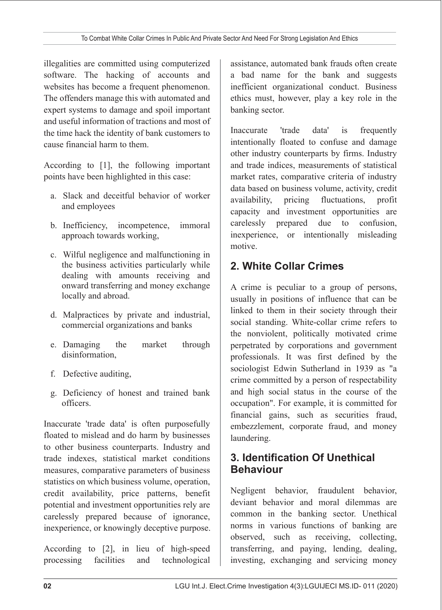illegalities are committed using computerized software. The hacking of accounts and websites has become a frequent phenomenon. The offenders manage this with automated and expert systems to damage and spoil important and useful information of tractions and most of the time hack the identity of bank customers to cause financial harm to them.

According to [1], the following important points have been highlighted in this case:

- a. Slack and deceitful behavior of worker and employees
- b. Inefficiency, incompetence, immoral approach towards working,
- c. Wilful negligence and malfunctioning in the business activities particularly while dealing with amounts receiving and onward transferring and money exchange locally and abroad.
- d. Malpractices by private and industrial, commercial organizations and banks
- e. Damaging the market through disinformation,
- f. Defective auditing,
- g. Deficiency of honest and trained bank officers.

Inaccurate 'trade data' is often purposefully floated to mislead and do harm by businesses to other business counterparts. Industry and trade indexes, statistical market conditions measures, comparative parameters of business statistics on which business volume, operation, credit availability, price patterns, benefit potential and investment opportunities rely are carelessly prepared because of ignorance, inexperience, or knowingly deceptive purpose.

According to [2], in lieu of high-speed processing facilities and technological assistance, automated bank frauds often create a bad name for the bank and suggests inefficient organizational conduct. Business ethics must, however, play a key role in the banking sector.

Inaccurate 'trade data' is frequently intentionally floated to confuse and damage other industry counterparts by firms. Industry and trade indices, measurements of statistical market rates, comparative criteria of industry data based on business volume, activity, credit availability, pricing fluctuations, profit capacity and investment opportunities are carelessly prepared due to confusion, inexperience, or intentionally misleading motive.

## **2. White Collar Crimes**

A crime is peculiar to a group of persons, usually in positions of influence that can be linked to them in their society through their social standing. White-collar crime refers to the nonviolent, politically motivated crime perpetrated by corporations and government professionals. It was first defined by the sociologist Edwin Sutherland in 1939 as "a crime committed by a person of respectability and high social status in the course of the occupation". For example, it is committed for financial gains, such as securities fraud, embezzlement, corporate fraud, and money laundering.

## **3. Identification Of Unethical Behaviour**

Negligent behavior, fraudulent behavior, deviant behavior and moral dilemmas are common in the banking sector. Unethical norms in various functions of banking are observed, such as receiving, collecting, transferring, and paying, lending, dealing, investing, exchanging and servicing money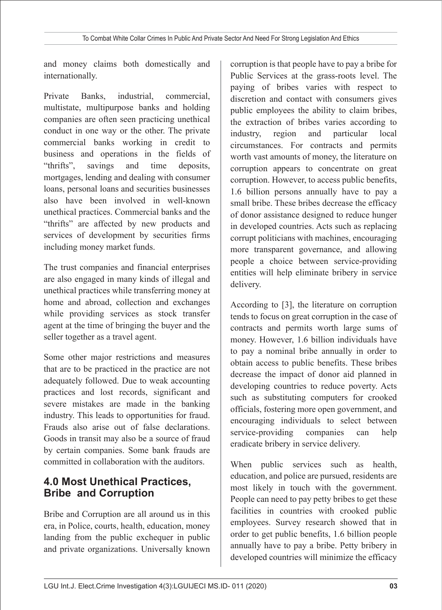and money claims both domestically and internationally.

Private Banks, industrial, commercial, multistate, multipurpose banks and holding companies are often seen practicing unethical conduct in one way or the other. The private commercial banks working in credit to business and operations in the fields of "thrifts", savings and time deposits, mortgages, lending and dealing with consumer loans, personal loans and securities businesses also have been involved in well-known unethical practices. Commercial banks and the "thrifts" are affected by new products and services of development by securities firms including money market funds.

The trust companies and financial enterprises are also engaged in many kinds of illegal and unethical practices while transferring money at home and abroad, collection and exchanges while providing services as stock transfer agent at the time of bringing the buyer and the seller together as a travel agent.

Some other major restrictions and measures that are to be practiced in the practice are not adequately followed. Due to weak accounting practices and lost records, significant and severe mistakes are made in the banking industry. This leads to opportunities for fraud. Frauds also arise out of false declarations. Goods in transit may also be a source of fraud by certain companies. Some bank frauds are committed in collaboration with the auditors.

## **4.0 Most Unethical Practices, Bribe and Corruption**

Bribe and Corruption are all around us in this era, in Police, courts, health, education, money landing from the public exchequer in public and private organizations. Universally known corruption is that people have to pay a bribe for Public Services at the grass-roots level. The paying of bribes varies with respect to discretion and contact with consumers gives public employees the ability to claim bribes, the extraction of bribes varies according to industry, region and particular local circumstances. For contracts and permits worth vast amounts of money, the literature on corruption appears to concentrate on great corruption. However, to access public benefits, 1.6 billion persons annually have to pay a small bribe. These bribes decrease the efficacy of donor assistance designed to reduce hunger in developed countries. Acts such as replacing corrupt politicians with machines, encouraging more transparent governance, and allowing people a choice between service-providing entities will help eliminate bribery in service delivery.

According to [3], the literature on corruption tends to focus on great corruption in the case of contracts and permits worth large sums of money. However, 1.6 billion individuals have to pay a nominal bribe annually in order to obtain access to public benefits. These bribes decrease the impact of donor aid planned in developing countries to reduce poverty. Acts such as substituting computers for crooked officials, fostering more open government, and encouraging individuals to select between service-providing companies can help eradicate bribery in service delivery.

When public services such as health, education, and police are pursued, residents are most likely in touch with the government. People can need to pay petty bribes to get these facilities in countries with crooked public employees. Survey research showed that in order to get public benefits, 1.6 billion people annually have to pay a bribe. Petty bribery in developed countries will minimize the efficacy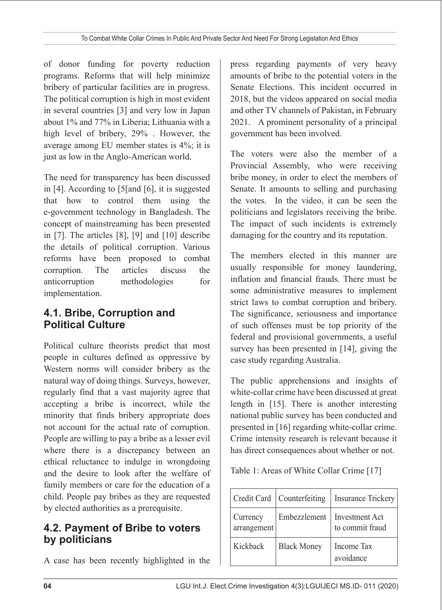of donor funding for poverty reduction programs. Reforms that will help minimize bribery of particular facilities are in progress. The political corruption is high in most evident in several countries [3] and very low in Japan about 1% and 77% in Liberia; Lithuania with a high level of bribery, 29% . However, the average among EU member states is 4%; it is just as low in the Anglo-American world.

The need for transparency has been discussed in [4]. According to [5[and [6], it is suggested that how to control them using the e-government technology in Bangladesh. The concept of mainstreaming has been presented in [7]. The articles [8], [9] and [10] describe the details of political corruption. Various reforms have been proposed to combat corruption. The articles discuss the anticorruption methodologies for implementation.

## **4.1. Bribe, Corruption and Political Culture**

Political culture theorists predict that most people in cultures defined as oppressive by Western norms will consider bribery as the natural way of doing things. Surveys, however, regularly find that a vast majority agree that accepting a bribe is incorrect, while the minority that finds bribery appropriate does not account for the actual rate of corruption. People are willing to pay a bribe as a lesser evil where there is a discrepancy between an ethical reluctance to indulge in wrongdoing and the desire to look after the welfare of family members or care for the education of a child. People pay bribes as they are requested by elected authorities as a prerequisite.

#### **4.2. Payment of Bribe to voters by politicians**

A case has been recently highlighted in the

press regarding payments of very heavy amounts of bribe to the potential voters in the Senate Elections. This incident occurred in 2018, but the videos appeared on social media and other TV channels of Pakistan, in February 2021. A prominent personality of a principal government has been involved.

The voters were also the member of a Provincial Assembly, who were receiving bribe money, in order to elect the members of Senate. It amounts to selling and purchasing the votes. In the video, it can be seen the politicians and legislators receiving the bribe. The impact of such incidents is extremely damaging for the country and its reputation.

The members elected in this manner are usually responsible for money laundering, inflation and financial frauds. There must be some administrative measures to implement strict laws to combat corruption and bribery. The significance, seriousness and importance of such offenses must be top priority of the federal and provisional governments, a useful survey has been presented in [14], giving the case study regarding Australia.

The public apprehensions and insights of white-collar crime have been discussed at great length in [15]. There is another interesting national public survey has been conducted and presented in [16] regarding white-collar crime. Crime intensity research is relevant because it has direct consequences about whether or not.

Table 1: Areas of White Collar Crime [17]

|                         | Credit Card   Counterfeiting | <b>Insurance Trickery</b>         |
|-------------------------|------------------------------|-----------------------------------|
| Currency<br>arrangement | Embezzlement                 | Investment Act<br>to commit fraud |
| Kickback                | <b>Black Money</b>           | Income Tax<br>avoidance           |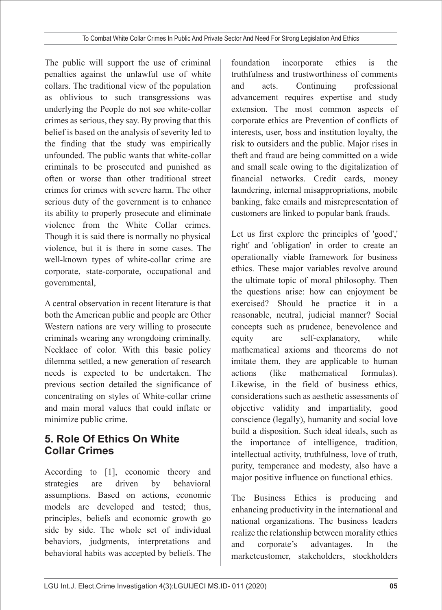The public will support the use of criminal penalties against the unlawful use of white collars. The traditional view of the population as oblivious to such transgressions was underlying the People do not see white-collar crimes as serious, they say. By proving that this belief is based on the analysis of severity led to the finding that the study was empirically unfounded. The public wants that white-collar criminals to be prosecuted and punished as often or worse than other traditional street crimes for crimes with severe harm. The other serious duty of the government is to enhance its ability to properly prosecute and eliminate violence from the White Collar crimes. Though it is said there is normally no physical violence, but it is there in some cases. The well-known types of white-collar crime are corporate, state-corporate, occupational and governmental,

A central observation in recent literature is that both the American public and people are Other Western nations are very willing to prosecute criminals wearing any wrongdoing criminally. Necklace of color. With this basic policy dilemma settled, a new generation of research needs is expected to be undertaken. The previous section detailed the significance of concentrating on styles of White-collar crime and main moral values that could inflate or minimize public crime.

## **5. Role Of Ethics On White Collar Crimes**

According to [1], economic theory and strategies are driven by behavioral assumptions. Based on actions, economic models are developed and tested; thus, principles, beliefs and economic growth go side by side. The whole set of individual behaviors, judgments, interpretations and behavioral habits was accepted by beliefs. The foundation incorporate ethics is the truthfulness and trustworthiness of comments and acts. Continuing professional advancement requires expertise and study extension. The most common aspects of corporate ethics are Prevention of conflicts of interests, user, boss and institution loyalty, the risk to outsiders and the public. Major rises in theft and fraud are being committed on a wide and small scale owing to the digitalization of financial networks. Credit cards, money laundering, internal misappropriations, mobile banking, fake emails and misrepresentation of customers are linked to popular bank frauds.

Let us first explore the principles of 'good',' right' and 'obligation' in order to create an operationally viable framework for business ethics. These major variables revolve around the ultimate topic of moral philosophy. Then the questions arise: how can enjoyment be exercised? Should he practice it in a reasonable, neutral, judicial manner? Social concepts such as prudence, benevolence and equity are self-explanatory, while mathematical axioms and theorems do not imitate them, they are applicable to human actions (like mathematical formulas). Likewise, in the field of business ethics, considerations such as aesthetic assessments of objective validity and impartiality, good conscience (legally), humanity and social love build a disposition. Such ideal ideals, such as the importance of intelligence, tradition, intellectual activity, truthfulness, love of truth, purity, temperance and modesty, also have a major positive influence on functional ethics.

The Business Ethics is producing and enhancing productivity in the international and national organizations. The business leaders realize the relationship between morality ethics and corporate's advantages. In the marketcustomer, stakeholders, stockholders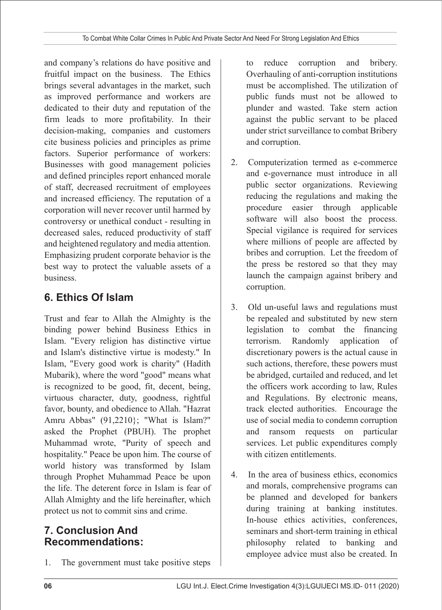and company's relations do have positive and fruitful impact on the business. The Ethics brings several advantages in the market, such as improved performance and workers are dedicated to their duty and reputation of the firm leads to more profitability. In their decision-making, companies and customers cite business policies and principles as prime factors. Superior performance of workers: Businesses with good management policies and defined principles report enhanced morale of staff, decreased recruitment of employees and increased efficiency. The reputation of a corporation will never recover until harmed by controversy or unethical conduct - resulting in decreased sales, reduced productivity of staff and heightened regulatory and media attention. Emphasizing prudent corporate behavior is the best way to protect the valuable assets of a business.

# **6. Ethics Of Islam**

Trust and fear to Allah the Almighty is the binding power behind Business Ethics in Islam. "Every religion has distinctive virtue and Islam's distinctive virtue is modesty." In Islam, "Every good work is charity" (Hadith Mubarik), where the word "good" means what is recognized to be good, fit, decent, being, virtuous character, duty, goodness, rightful favor, bounty, and obedience to Allah. "Hazrat Amru Abbas" (91,2210}; "What is Islam?" asked the Prophet (PBUH). The prophet Muhammad wrote, "Purity of speech and hospitality." Peace be upon him. The course of world history was transformed by Islam through Prophet Muhammad Peace be upon the life. The deterent force in Islam is fear of Allah Almighty and the life hereinafter, which protect us not to commit sins and crime.

### **7. Conclusion And Recommendations:**

1. The government must take positive steps

to reduce corruption and bribery. Overhauling of anti-corruption institutions must be accomplished. The utilization of public funds must not be allowed to plunder and wasted. Take stern action against the public servant to be placed under strict surveillance to combat Bribery and corruption.

- 2. Computerization termed as e-commerce and e-governance must introduce in all public sector organizations. Reviewing reducing the regulations and making the procedure easier through applicable software will also boost the process. Special vigilance is required for services where millions of people are affected by bribes and corruption. Let the freedom of the press be restored so that they may launch the campaign against bribery and corruption.
- 3. Old un-useful laws and regulations must be repealed and substituted by new stern legislation to combat the financing terrorism. Randomly application of discretionary powers is the actual cause in such actions, therefore, these powers must be abridged, curtailed and reduced, and let the officers work according to law, Rules and Regulations. By electronic means, track elected authorities. Encourage the use of social media to condemn corruption and ransom requests on particular services. Let public expenditures comply with citizen entitlements.
- 4. In the area of business ethics, economics and morals, comprehensive programs can be planned and developed for bankers during training at banking institutes. In-house ethics activities, conferences, seminars and short-term training in ethical philosophy related to banking and employee advice must also be created. In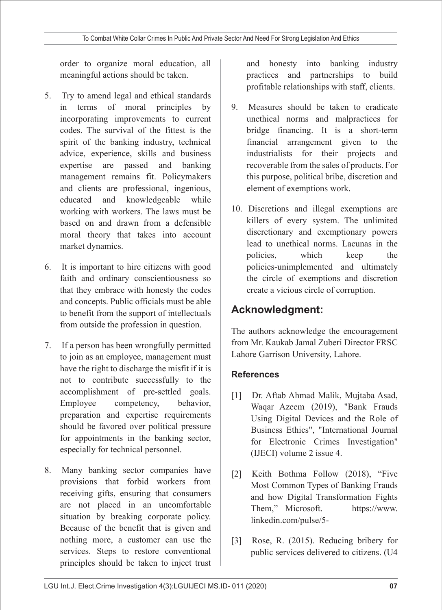order to organize moral education, all meaningful actions should be taken.

- 5. Try to amend legal and ethical standards in terms of moral principles by incorporating improvements to current codes. The survival of the fittest is the spirit of the banking industry, technical advice, experience, skills and business expertise are passed and banking management remains fit. Policymakers and clients are professional, ingenious, educated and knowledgeable while working with workers. The laws must be based on and drawn from a defensible moral theory that takes into account market dynamics.
- 6. It is important to hire citizens with good faith and ordinary conscientiousness so that they embrace with honesty the codes and concepts. Public officials must be able to benefit from the support of intellectuals from outside the profession in question.
- 7. If a person has been wrongfully permitted to join as an employee, management must have the right to discharge the misfit if it is not to contribute successfully to the accomplishment of pre-settled goals. Employee competency, behavior, preparation and expertise requirements should be favored over political pressure for appointments in the banking sector, especially for technical personnel.
- 8. Many banking sector companies have provisions that forbid workers from receiving gifts, ensuring that consumers are not placed in an uncomfortable situation by breaking corporate policy. Because of the benefit that is given and nothing more, a customer can use the services. Steps to restore conventional principles should be taken to inject trust

and honesty into banking industry practices and partnerships to build profitable relationships with staff, clients.

- 9. Measures should be taken to eradicate unethical norms and malpractices for bridge financing. It is a short-term financial arrangement given to the industrialists for their projects and recoverable from the sales of products. For this purpose, political bribe, discretion and element of exemptions work.
- 10. Discretions and illegal exemptions are killers of every system. The unlimited discretionary and exemptionary powers lead to unethical norms. Lacunas in the policies, which keep the policies-unimplemented and ultimately the circle of exemptions and discretion create a vicious circle of corruption.

## **Acknowledgment:**

The authors acknowledge the encouragement from Mr. Kaukab Jamal Zuberi Director FRSC Lahore Garrison University, Lahore.

#### **References**

- [1] Dr. Aftab Ahmad Malik, Mujtaba Asad, Waqar Azeem (2019), "Bank Frauds Using Digital Devices and the Role of Business Ethics", "International Journal for Electronic Crimes Investigation" (IJECI) volume 2 issue 4.
- [2] Keith Bothma Follow (2018), "Five Most Common Types of Banking Frauds and how Digital Transformation Fights Them," Microsoft. https://www. linkedin.com/pulse/5-
- [3] Rose, R. (2015). Reducing bribery for public services delivered to citizens. (U4